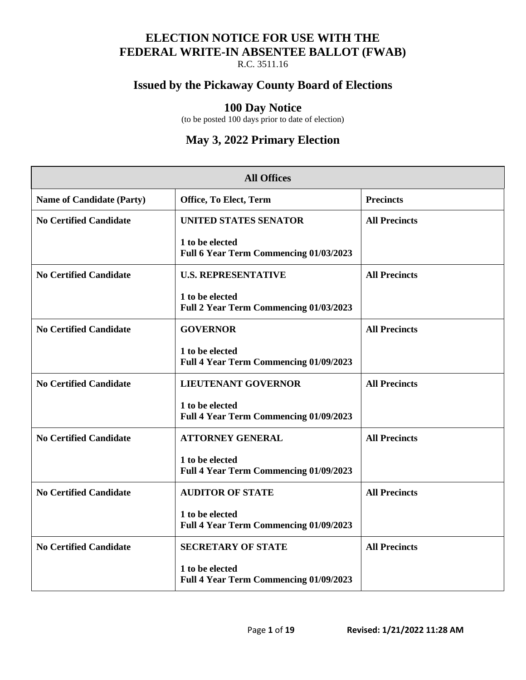## **ELECTION NOTICE FOR USE WITH THE FEDERAL WRITE-IN ABSENTEE BALLOT (FWAB)**

R.C. 3511.16

## **Issued by the Pickaway County Board of Elections**

#### **100 Day Notice**

(to be posted 100 days prior to date of election)

## **May 3, 2022 Primary Election**

| <b>All Offices</b>               |                                                           |                      |
|----------------------------------|-----------------------------------------------------------|----------------------|
| <b>Name of Candidate (Party)</b> | Office, To Elect, Term                                    | <b>Precincts</b>     |
| <b>No Certified Candidate</b>    | <b>UNITED STATES SENATOR</b>                              | <b>All Precincts</b> |
|                                  | 1 to be elected<br>Full 6 Year Term Commencing 01/03/2023 |                      |
| <b>No Certified Candidate</b>    | <b>U.S. REPRESENTATIVE</b>                                | <b>All Precincts</b> |
|                                  | 1 to be elected<br>Full 2 Year Term Commencing 01/03/2023 |                      |
| <b>No Certified Candidate</b>    | <b>GOVERNOR</b>                                           | <b>All Precincts</b> |
|                                  | 1 to be elected<br>Full 4 Year Term Commencing 01/09/2023 |                      |
| <b>No Certified Candidate</b>    | <b>LIEUTENANT GOVERNOR</b>                                | <b>All Precincts</b> |
|                                  | 1 to be elected<br>Full 4 Year Term Commencing 01/09/2023 |                      |
| <b>No Certified Candidate</b>    | <b>ATTORNEY GENERAL</b>                                   | <b>All Precincts</b> |
|                                  | 1 to be elected<br>Full 4 Year Term Commencing 01/09/2023 |                      |
| <b>No Certified Candidate</b>    | <b>AUDITOR OF STATE</b>                                   | <b>All Precincts</b> |
|                                  | 1 to be elected<br>Full 4 Year Term Commencing 01/09/2023 |                      |
| <b>No Certified Candidate</b>    | <b>SECRETARY OF STATE</b>                                 | <b>All Precincts</b> |
|                                  | 1 to be elected<br>Full 4 Year Term Commencing 01/09/2023 |                      |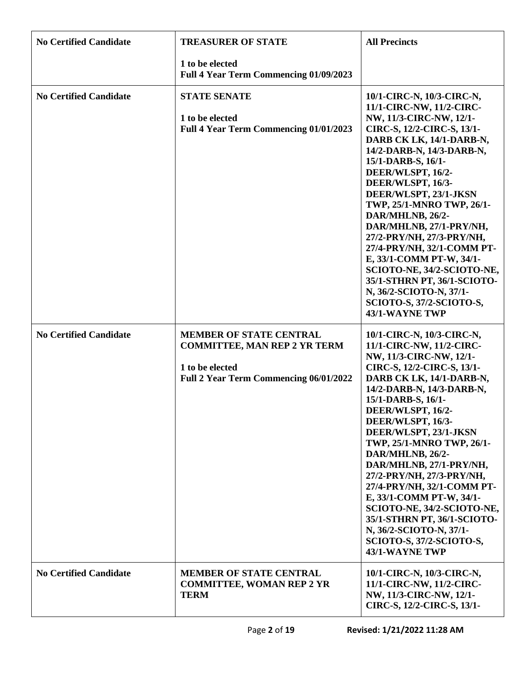| <b>No Certified Candidate</b> | <b>TREASURER OF STATE</b>                                                                                                          | <b>All Precincts</b>                                                                                                                                                                                                                                                                                                                                                                                                                                                                                                                                                      |
|-------------------------------|------------------------------------------------------------------------------------------------------------------------------------|---------------------------------------------------------------------------------------------------------------------------------------------------------------------------------------------------------------------------------------------------------------------------------------------------------------------------------------------------------------------------------------------------------------------------------------------------------------------------------------------------------------------------------------------------------------------------|
|                               | 1 to be elected<br>Full 4 Year Term Commencing 01/09/2023                                                                          |                                                                                                                                                                                                                                                                                                                                                                                                                                                                                                                                                                           |
| <b>No Certified Candidate</b> | <b>STATE SENATE</b><br>1 to be elected<br>Full 4 Year Term Commencing 01/01/2023                                                   | 10/1-CIRC-N, 10/3-CIRC-N,<br>11/1-CIRC-NW, 11/2-CIRC-<br>NW, 11/3-CIRC-NW, 12/1-<br>CIRC-S, 12/2-CIRC-S, 13/1-<br>DARB CK LK, 14/1-DARB-N,<br>14/2-DARB-N, 14/3-DARB-N,<br>15/1-DARB-S, 16/1-<br>DEER/WLSPT, 16/2-<br>DEER/WLSPT, 16/3-<br>DEER/WLSPT, 23/1-JKSN<br>TWP, 25/1-MNRO TWP, 26/1-<br>DAR/MHLNB, 26/2-<br>DAR/MHLNB, 27/1-PRY/NH,<br>27/2-PRY/NH, 27/3-PRY/NH,<br>27/4-PRY/NH, 32/1-COMM PT-<br>E, 33/1-COMM PT-W, 34/1-<br>SCIOTO-NE, 34/2-SCIOTO-NE,<br>35/1-STHRN PT, 36/1-SCIOTO-<br>N, 36/2-SCIOTO-N, 37/1-<br>SCIOTO-S, 37/2-SCIOTO-S,<br>43/1-WAYNE TWP |
| <b>No Certified Candidate</b> | <b>MEMBER OF STATE CENTRAL</b><br><b>COMMITTEE, MAN REP 2 YR TERM</b><br>1 to be elected<br>Full 2 Year Term Commencing 06/01/2022 | 10/1-CIRC-N, 10/3-CIRC-N,<br>11/1-CIRC-NW, 11/2-CIRC-<br>NW, 11/3-CIRC-NW, 12/1-<br>CIRC-S, 12/2-CIRC-S, 13/1-<br>DARB CK LK, 14/1-DARB-N,<br>14/2-DARB-N, 14/3-DARB-N,<br>15/1-DARB-S, 16/1-<br>DEER/WLSPT, 16/2-<br>DEER/WLSPT, 16/3-<br>DEER/WLSPT, 23/1-JKSN<br>TWP, 25/1-MNRO TWP, 26/1-<br>DAR/MHLNB, 26/2-<br>DAR/MHLNB, 27/1-PRY/NH,<br>27/2-PRY/NH, 27/3-PRY/NH,<br>27/4-PRY/NH, 32/1-COMM PT-<br>E, 33/1-COMM PT-W, 34/1-<br>SCIOTO-NE, 34/2-SCIOTO-NE,<br>35/1-STHRN PT, 36/1-SCIOTO-<br>N, 36/2-SCIOTO-N, 37/1-<br>SCIOTO-S, 37/2-SCIOTO-S,<br>43/1-WAYNE TWP |
| <b>No Certified Candidate</b> | <b>MEMBER OF STATE CENTRAL</b><br><b>COMMITTEE, WOMAN REP 2 YR</b><br><b>TERM</b>                                                  | 10/1-CIRC-N, 10/3-CIRC-N,<br>11/1-CIRC-NW, 11/2-CIRC-<br>NW, 11/3-CIRC-NW, 12/1-<br>CIRC-S, 12/2-CIRC-S, 13/1-                                                                                                                                                                                                                                                                                                                                                                                                                                                            |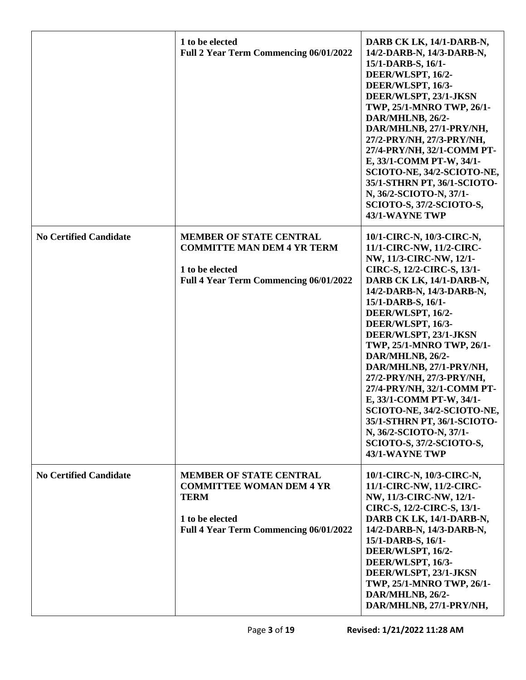|                               | 1 to be elected<br>Full 2 Year Term Commencing 06/01/2022                                                                                            | DARB CK LK, 14/1-DARB-N,<br>14/2-DARB-N, 14/3-DARB-N,<br>15/1-DARB-S, 16/1-<br>DEER/WLSPT, 16/2-<br>DEER/WLSPT, 16/3-<br>DEER/WLSPT, 23/1-JKSN<br>TWP, 25/1-MNRO TWP, 26/1-<br>DAR/MHLNB, 26/2-<br>DAR/MHLNB, 27/1-PRY/NH,<br>27/2-PRY/NH, 27/3-PRY/NH,<br>27/4-PRY/NH, 32/1-COMM PT-<br>E, 33/1-COMM PT-W, 34/1-<br>SCIOTO-NE, 34/2-SCIOTO-NE,<br>35/1-STHRN PT, 36/1-SCIOTO-<br>N, 36/2-SCIOTO-N, 37/1-<br>SCIOTO-S, 37/2-SCIOTO-S,<br>43/1-WAYNE TWP                                                                                                                   |
|-------------------------------|------------------------------------------------------------------------------------------------------------------------------------------------------|---------------------------------------------------------------------------------------------------------------------------------------------------------------------------------------------------------------------------------------------------------------------------------------------------------------------------------------------------------------------------------------------------------------------------------------------------------------------------------------------------------------------------------------------------------------------------|
| <b>No Certified Candidate</b> | <b>MEMBER OF STATE CENTRAL</b><br><b>COMMITTE MAN DEM 4 YR TERM</b><br>1 to be elected<br>Full 4 Year Term Commencing 06/01/2022                     | 10/1-CIRC-N, 10/3-CIRC-N,<br>11/1-CIRC-NW, 11/2-CIRC-<br>NW, 11/3-CIRC-NW, 12/1-<br>CIRC-S, 12/2-CIRC-S, 13/1-<br>DARB CK LK, 14/1-DARB-N,<br>14/2-DARB-N, 14/3-DARB-N,<br>15/1-DARB-S, 16/1-<br>DEER/WLSPT, 16/2-<br>DEER/WLSPT, 16/3-<br>DEER/WLSPT, 23/1-JKSN<br>TWP, 25/1-MNRO TWP, 26/1-<br>DAR/MHLNB, 26/2-<br>DAR/MHLNB, 27/1-PRY/NH,<br>27/2-PRY/NH, 27/3-PRY/NH,<br>27/4-PRY/NH, 32/1-COMM PT-<br>E, 33/1-COMM PT-W, 34/1-<br>SCIOTO-NE, 34/2-SCIOTO-NE,<br>35/1-STHRN PT, 36/1-SCIOTO-<br>N, 36/2-SCIOTO-N, 37/1-<br>SCIOTO-S, 37/2-SCIOTO-S,<br>43/1-WAYNE TWP |
| <b>No Certified Candidate</b> | <b>MEMBER OF STATE CENTRAL</b><br><b>COMMITTEE WOMAN DEM 4 YR</b><br><b>TERM</b><br>1 to be elected<br><b>Full 4 Year Term Commencing 06/01/2022</b> | 10/1-CIRC-N, 10/3-CIRC-N,<br>11/1-CIRC-NW, 11/2-CIRC-<br>NW, 11/3-CIRC-NW, 12/1-<br>CIRC-S, 12/2-CIRC-S, 13/1-<br>DARB CK LK, 14/1-DARB-N,<br>14/2-DARB-N, 14/3-DARB-N,<br>15/1-DARB-S, 16/1-<br>DEER/WLSPT, 16/2-<br>DEER/WLSPT, 16/3-<br>DEER/WLSPT, 23/1-JKSN<br>TWP, 25/1-MNRO TWP, 26/1-<br>DAR/MHLNB, 26/2-<br>DAR/MHLNB, 27/1-PRY/NH,                                                                                                                                                                                                                              |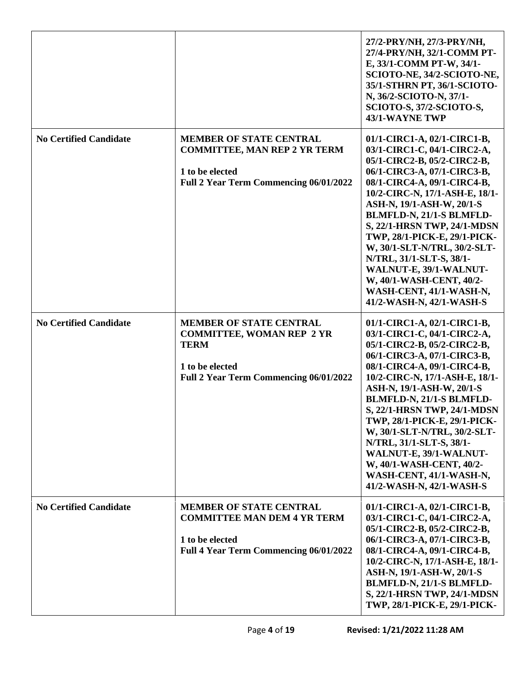|                               |                                                                                                                                                | 27/2-PRY/NH, 27/3-PRY/NH,<br>27/4-PRY/NH, 32/1-COMM PT-<br>E, 33/1-COMM PT-W, 34/1-<br>SCIOTO-NE, 34/2-SCIOTO-NE,<br>35/1-STHRN PT, 36/1-SCIOTO-<br>N, 36/2-SCIOTO-N, 37/1-<br>SCIOTO-S, 37/2-SCIOTO-S,<br>43/1-WAYNE TWP                                                                                                                                                                                                                                                                  |
|-------------------------------|------------------------------------------------------------------------------------------------------------------------------------------------|--------------------------------------------------------------------------------------------------------------------------------------------------------------------------------------------------------------------------------------------------------------------------------------------------------------------------------------------------------------------------------------------------------------------------------------------------------------------------------------------|
| <b>No Certified Candidate</b> | <b>MEMBER OF STATE CENTRAL</b><br><b>COMMITTEE, MAN REP 2 YR TERM</b><br>1 to be elected<br>Full 2 Year Term Commencing 06/01/2022             | 01/1-CIRC1-A, 02/1-CIRC1-B,<br>03/1-CIRC1-C, 04/1-CIRC2-A,<br>05/1-CIRC2-B, 05/2-CIRC2-B,<br>06/1-CIRC3-A, 07/1-CIRC3-B,<br>08/1-CIRC4-A, 09/1-CIRC4-B,<br>10/2-CIRC-N, 17/1-ASH-E, 18/1-<br>ASH-N, 19/1-ASH-W, 20/1-S<br>BLMFLD-N, 21/1-S BLMFLD-<br>S, 22/1-HRSN TWP, 24/1-MDSN<br>TWP, 28/1-PICK-E, 29/1-PICK-<br>W, 30/1-SLT-N/TRL, 30/2-SLT-<br>N/TRL, 31/1-SLT-S, 38/1-<br>WALNUT-E, 39/1-WALNUT-<br>W, 40/1-WASH-CENT, 40/2-<br>WASH-CENT, 41/1-WASH-N,<br>41/2-WASH-N, 42/1-WASH-S |
| <b>No Certified Candidate</b> | <b>MEMBER OF STATE CENTRAL</b><br><b>COMMITTEE, WOMAN REP 2 YR</b><br><b>TERM</b><br>1 to be elected<br>Full 2 Year Term Commencing 06/01/2022 | 01/1-CIRC1-A, 02/1-CIRC1-B,<br>03/1-CIRC1-C, 04/1-CIRC2-A,<br>05/1-CIRC2-B, 05/2-CIRC2-B,<br>06/1-CIRC3-A, 07/1-CIRC3-B,<br>08/1-CIRC4-A, 09/1-CIRC4-B,<br>10/2-CIRC-N, 17/1-ASH-E, 18/1-<br>ASH-N, 19/1-ASH-W, 20/1-S<br>BLMFLD-N, 21/1-S BLMFLD-<br>S, 22/1-HRSN TWP, 24/1-MDSN<br>TWP, 28/1-PICK-E, 29/1-PICK-<br>W, 30/1-SLT-N/TRL, 30/2-SLT-<br>N/TRL, 31/1-SLT-S, 38/1-<br>WALNUT-E, 39/1-WALNUT-<br>W, 40/1-WASH-CENT, 40/2-<br>WASH-CENT, 41/1-WASH-N,<br>41/2-WASH-N, 42/1-WASH-S |
| <b>No Certified Candidate</b> | <b>MEMBER OF STATE CENTRAL</b><br><b>COMMITTEE MAN DEM 4 YR TERM</b><br>1 to be elected<br><b>Full 4 Year Term Commencing 06/01/2022</b>       | 01/1-CIRC1-A, 02/1-CIRC1-B,<br>03/1-CIRC1-C, 04/1-CIRC2-A,<br>05/1-CIRC2-B, 05/2-CIRC2-B,<br>06/1-CIRC3-A, 07/1-CIRC3-B,<br>08/1-CIRC4-A, 09/1-CIRC4-B,<br>10/2-CIRC-N, 17/1-ASH-E, 18/1-<br>ASH-N, 19/1-ASH-W, 20/1-S<br>BLMFLD-N, 21/1-S BLMFLD-<br>S, 22/1-HRSN TWP, 24/1-MDSN<br>TWP, 28/1-PICK-E, 29/1-PICK-                                                                                                                                                                          |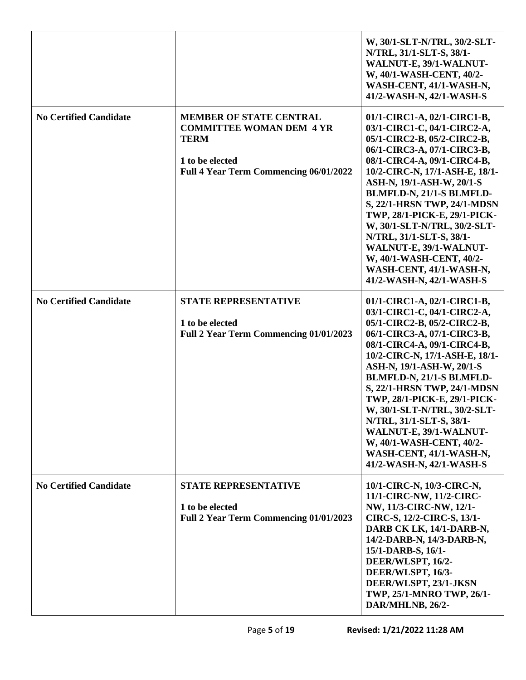|                               |                                                                                                                                               | W, 30/1-SLT-N/TRL, 30/2-SLT-<br>N/TRL, 31/1-SLT-S, 38/1-<br>WALNUT-E, 39/1-WALNUT-<br>W, 40/1-WASH-CENT, 40/2-<br>WASH-CENT, 41/1-WASH-N,<br>41/2-WASH-N, 42/1-WASH-S                                                                                                                                                                                                                                                                                                                      |
|-------------------------------|-----------------------------------------------------------------------------------------------------------------------------------------------|--------------------------------------------------------------------------------------------------------------------------------------------------------------------------------------------------------------------------------------------------------------------------------------------------------------------------------------------------------------------------------------------------------------------------------------------------------------------------------------------|
| <b>No Certified Candidate</b> | <b>MEMBER OF STATE CENTRAL</b><br><b>COMMITTEE WOMAN DEM 4 YR</b><br><b>TERM</b><br>1 to be elected<br>Full 4 Year Term Commencing 06/01/2022 | 01/1-CIRC1-A, 02/1-CIRC1-B,<br>03/1-CIRC1-C, 04/1-CIRC2-A,<br>05/1-CIRC2-B, 05/2-CIRC2-B,<br>06/1-CIRC3-A, 07/1-CIRC3-B,<br>08/1-CIRC4-A, 09/1-CIRC4-B,<br>10/2-CIRC-N, 17/1-ASH-E, 18/1-<br>ASH-N, 19/1-ASH-W, 20/1-S<br>BLMFLD-N, 21/1-S BLMFLD-<br>S, 22/1-HRSN TWP, 24/1-MDSN<br>TWP, 28/1-PICK-E, 29/1-PICK-<br>W, 30/1-SLT-N/TRL, 30/2-SLT-<br>N/TRL, 31/1-SLT-S, 38/1-<br>WALNUT-E, 39/1-WALNUT-<br>W, 40/1-WASH-CENT, 40/2-<br>WASH-CENT, 41/1-WASH-N,<br>41/2-WASH-N, 42/1-WASH-S |
| <b>No Certified Candidate</b> | <b>STATE REPRESENTATIVE</b><br>1 to be elected<br>Full 2 Year Term Commencing 01/01/2023                                                      | 01/1-CIRC1-A, 02/1-CIRC1-B,<br>03/1-CIRC1-C, 04/1-CIRC2-A,<br>05/1-CIRC2-B, 05/2-CIRC2-B,<br>06/1-CIRC3-A, 07/1-CIRC3-B,<br>08/1-CIRC4-A, 09/1-CIRC4-B,<br>10/2-CIRC-N, 17/1-ASH-E, 18/1-<br>ASH-N, 19/1-ASH-W, 20/1-S<br>BLMFLD-N, 21/1-S BLMFLD-<br>S, 22/1-HRSN TWP, 24/1-MDSN<br>TWP, 28/1-PICK-E, 29/1-PICK-<br>W, 30/1-SLT-N/TRL, 30/2-SLT-<br>N/TRL, 31/1-SLT-S, 38/1-<br>WALNUT-E, 39/1-WALNUT-<br>W, 40/1-WASH-CENT, 40/2-<br>WASH-CENT, 41/1-WASH-N,<br>41/2-WASH-N, 42/1-WASH-S |
| <b>No Certified Candidate</b> | <b>STATE REPRESENTATIVE</b><br>1 to be elected<br>Full 2 Year Term Commencing 01/01/2023                                                      | 10/1-CIRC-N, 10/3-CIRC-N,<br>11/1-CIRC-NW, 11/2-CIRC-<br>NW, 11/3-CIRC-NW, 12/1-<br>CIRC-S, 12/2-CIRC-S, 13/1-<br>DARB CK LK, 14/1-DARB-N,<br>14/2-DARB-N, 14/3-DARB-N,<br>15/1-DARB-S, 16/1-<br>DEER/WLSPT, 16/2-<br>DEER/WLSPT, 16/3-<br>DEER/WLSPT, 23/1-JKSN<br>TWP, 25/1-MNRO TWP, 26/1-<br>DAR/MHLNB, 26/2-                                                                                                                                                                          |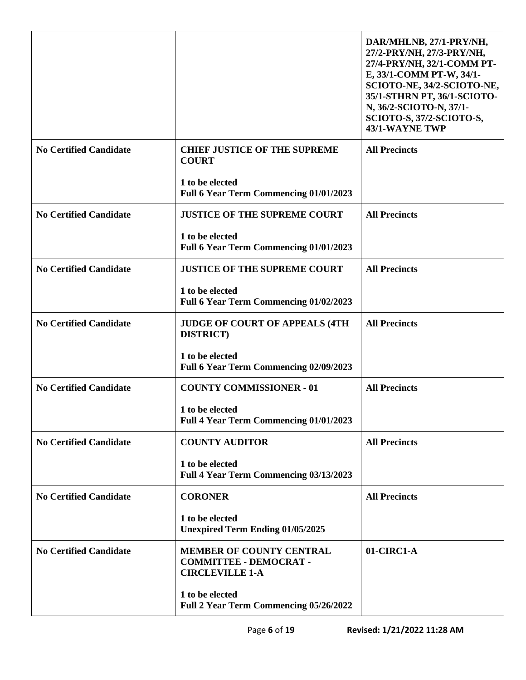|                               |                                                                                            | DAR/MHLNB, 27/1-PRY/NH,<br>27/2-PRY/NH, 27/3-PRY/NH,<br>27/4-PRY/NH, 32/1-COMM PT-<br>E, 33/1-COMM PT-W, 34/1-<br>SCIOTO-NE, 34/2-SCIOTO-NE,<br>35/1-STHRN PT, 36/1-SCIOTO-<br>N, 36/2-SCIOTO-N, 37/1-<br>SCIOTO-S, 37/2-SCIOTO-S,<br>43/1-WAYNE TWP |
|-------------------------------|--------------------------------------------------------------------------------------------|------------------------------------------------------------------------------------------------------------------------------------------------------------------------------------------------------------------------------------------------------|
| <b>No Certified Candidate</b> | <b>CHIEF JUSTICE OF THE SUPREME</b><br><b>COURT</b>                                        | <b>All Precincts</b>                                                                                                                                                                                                                                 |
|                               | 1 to be elected<br>Full 6 Year Term Commencing 01/01/2023                                  |                                                                                                                                                                                                                                                      |
| <b>No Certified Candidate</b> | <b>JUSTICE OF THE SUPREME COURT</b>                                                        | <b>All Precincts</b>                                                                                                                                                                                                                                 |
|                               | 1 to be elected<br>Full 6 Year Term Commencing 01/01/2023                                  |                                                                                                                                                                                                                                                      |
| <b>No Certified Candidate</b> | <b>JUSTICE OF THE SUPREME COURT</b>                                                        | <b>All Precincts</b>                                                                                                                                                                                                                                 |
|                               | 1 to be elected<br>Full 6 Year Term Commencing 01/02/2023                                  |                                                                                                                                                                                                                                                      |
| <b>No Certified Candidate</b> | <b>JUDGE OF COURT OF APPEALS (4TH)</b><br><b>DISTRICT</b> )                                | <b>All Precincts</b>                                                                                                                                                                                                                                 |
|                               | 1 to be elected<br>Full 6 Year Term Commencing 02/09/2023                                  |                                                                                                                                                                                                                                                      |
| <b>No Certified Candidate</b> | <b>COUNTY COMMISSIONER - 01</b>                                                            | <b>All Precincts</b>                                                                                                                                                                                                                                 |
|                               | 1 to be elected<br>Full 4 Year Term Commencing 01/01/2023                                  |                                                                                                                                                                                                                                                      |
| <b>No Certified Candidate</b> | <b>COUNTY AUDITOR</b>                                                                      | <b>All Precincts</b>                                                                                                                                                                                                                                 |
|                               | 1 to be elected<br>Full 4 Year Term Commencing 03/13/2023                                  |                                                                                                                                                                                                                                                      |
| <b>No Certified Candidate</b> | <b>CORONER</b>                                                                             | <b>All Precincts</b>                                                                                                                                                                                                                                 |
|                               | 1 to be elected<br><b>Unexpired Term Ending 01/05/2025</b>                                 |                                                                                                                                                                                                                                                      |
| <b>No Certified Candidate</b> | <b>MEMBER OF COUNTY CENTRAL</b><br><b>COMMITTEE - DEMOCRAT -</b><br><b>CIRCLEVILLE 1-A</b> | 01-CIRC1-A                                                                                                                                                                                                                                           |
|                               | 1 to be elected<br>Full 2 Year Term Commencing 05/26/2022                                  |                                                                                                                                                                                                                                                      |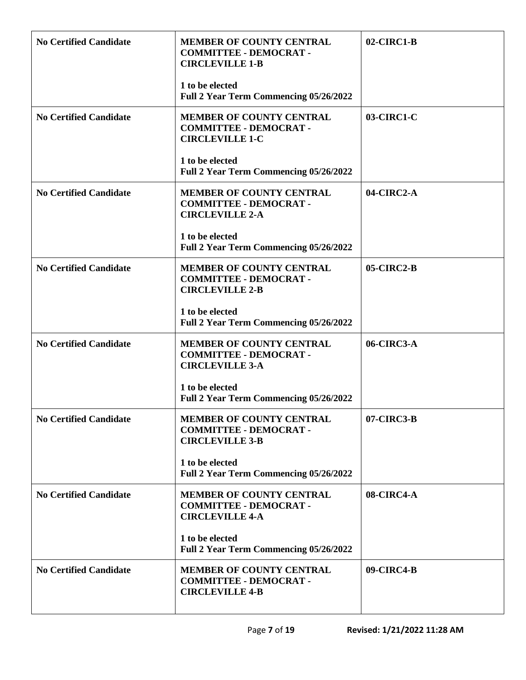| <b>No Certified Candidate</b> | <b>MEMBER OF COUNTY CENTRAL</b><br><b>COMMITTEE - DEMOCRAT -</b><br><b>CIRCLEVILLE 1-B</b> | $02$ -CIRC1-B |
|-------------------------------|--------------------------------------------------------------------------------------------|---------------|
|                               | 1 to be elected<br>Full 2 Year Term Commencing 05/26/2022                                  |               |
| <b>No Certified Candidate</b> | <b>MEMBER OF COUNTY CENTRAL</b><br><b>COMMITTEE - DEMOCRAT -</b><br><b>CIRCLEVILLE 1-C</b> | 03-CIRC1-C    |
|                               | 1 to be elected<br>Full 2 Year Term Commencing 05/26/2022                                  |               |
| <b>No Certified Candidate</b> | <b>MEMBER OF COUNTY CENTRAL</b><br><b>COMMITTEE - DEMOCRAT -</b><br><b>CIRCLEVILLE 2-A</b> | 04-CIRC2-A    |
|                               | 1 to be elected<br>Full 2 Year Term Commencing 05/26/2022                                  |               |
| <b>No Certified Candidate</b> | <b>MEMBER OF COUNTY CENTRAL</b><br><b>COMMITTEE - DEMOCRAT -</b><br><b>CIRCLEVILLE 2-B</b> | $05$ -CIRC2-B |
|                               | 1 to be elected<br>Full 2 Year Term Commencing 05/26/2022                                  |               |
| <b>No Certified Candidate</b> | <b>MEMBER OF COUNTY CENTRAL</b><br><b>COMMITTEE - DEMOCRAT -</b><br><b>CIRCLEVILLE 3-A</b> | 06-CIRC3-A    |
|                               | 1 to be elected<br>Full 2 Year Term Commencing 05/26/2022                                  |               |
| <b>No Certified Candidate</b> | <b>MEMBER OF COUNTY CENTRAL</b><br><b>COMMITTEE - DEMOCRAT -</b><br><b>CIRCLEVILLE 3-B</b> | 07-CIRC3-B    |
|                               | 1 to be elected<br>Full 2 Year Term Commencing 05/26/2022                                  |               |
| <b>No Certified Candidate</b> | <b>MEMBER OF COUNTY CENTRAL</b><br><b>COMMITTEE - DEMOCRAT -</b><br><b>CIRCLEVILLE 4-A</b> | 08-CIRC4-A    |
|                               | 1 to be elected<br>Full 2 Year Term Commencing 05/26/2022                                  |               |
| <b>No Certified Candidate</b> | <b>MEMBER OF COUNTY CENTRAL</b><br><b>COMMITTEE - DEMOCRAT -</b><br><b>CIRCLEVILLE 4-B</b> | 09-CIRC4-B    |
|                               |                                                                                            |               |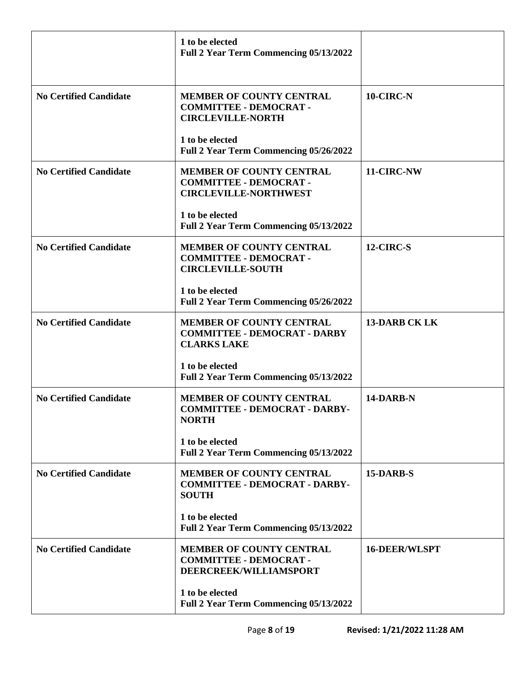|                               | 1 to be elected<br><b>Full 2 Year Term Commencing 05/13/2022</b>                                 |                      |
|-------------------------------|--------------------------------------------------------------------------------------------------|----------------------|
| <b>No Certified Candidate</b> | MEMBER OF COUNTY CENTRAL<br><b>COMMITTEE - DEMOCRAT -</b><br><b>CIRCLEVILLE-NORTH</b>            | 10-CIRC-N            |
|                               | 1 to be elected<br>Full 2 Year Term Commencing 05/26/2022                                        |                      |
| <b>No Certified Candidate</b> | <b>MEMBER OF COUNTY CENTRAL</b><br><b>COMMITTEE - DEMOCRAT -</b><br><b>CIRCLEVILLE-NORTHWEST</b> | 11-CIRC-NW           |
|                               | 1 to be elected<br><b>Full 2 Year Term Commencing 05/13/2022</b>                                 |                      |
| <b>No Certified Candidate</b> | <b>MEMBER OF COUNTY CENTRAL</b><br><b>COMMITTEE - DEMOCRAT -</b><br><b>CIRCLEVILLE-SOUTH</b>     | 12-CIRC-S            |
|                               | 1 to be elected<br>Full 2 Year Term Commencing 05/26/2022                                        |                      |
| <b>No Certified Candidate</b> | MEMBER OF COUNTY CENTRAL<br><b>COMMITTEE - DEMOCRAT - DARBY</b><br><b>CLARKS LAKE</b>            | <b>13-DARB CK LK</b> |
|                               | 1 to be elected<br><b>Full 2 Year Term Commencing 05/13/2022</b>                                 |                      |
| <b>No Certified Candidate</b> | <b>MEMBER OF COUNTY CENTRAL</b><br><b>COMMITTEE - DEMOCRAT - DARBY-</b><br><b>NORTH</b>          | 14-DARB-N            |
|                               | 1 to be elected<br>Full 2 Year Term Commencing 05/13/2022                                        |                      |
| <b>No Certified Candidate</b> | <b>MEMBER OF COUNTY CENTRAL</b><br><b>COMMITTEE - DEMOCRAT - DARBY-</b><br><b>SOUTH</b>          | 15-DARB-S            |
|                               | 1 to be elected<br>Full 2 Year Term Commencing 05/13/2022                                        |                      |
| <b>No Certified Candidate</b> | <b>MEMBER OF COUNTY CENTRAL</b><br><b>COMMITTEE - DEMOCRAT -</b><br>DEERCREEK/WILLIAMSPORT       | <b>16-DEER/WLSPT</b> |
|                               | 1 to be elected<br>Full 2 Year Term Commencing 05/13/2022                                        |                      |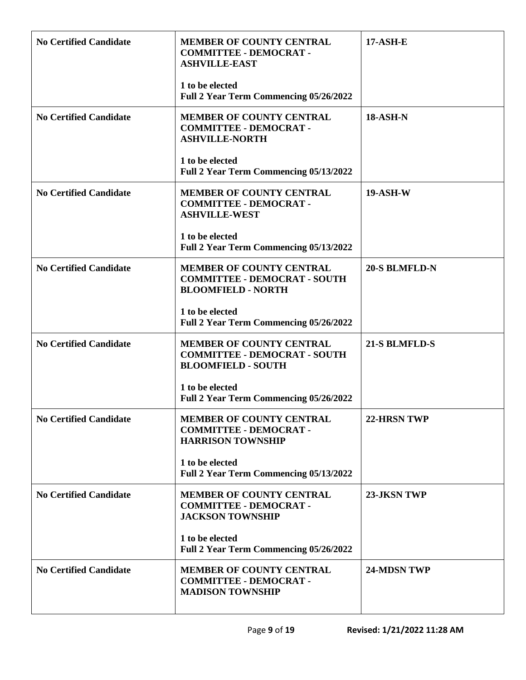| <b>No Certified Candidate</b> | <b>MEMBER OF COUNTY CENTRAL</b><br><b>COMMITTEE - DEMOCRAT -</b><br><b>ASHVILLE-EAST</b><br>1 to be elected | <b>17-ASH-E</b>      |
|-------------------------------|-------------------------------------------------------------------------------------------------------------|----------------------|
|                               | Full 2 Year Term Commencing 05/26/2022                                                                      |                      |
| <b>No Certified Candidate</b> | <b>MEMBER OF COUNTY CENTRAL</b><br><b>COMMITTEE - DEMOCRAT -</b><br><b>ASHVILLE-NORTH</b>                   | <b>18-ASH-N</b>      |
|                               | 1 to be elected<br>Full 2 Year Term Commencing 05/13/2022                                                   |                      |
| <b>No Certified Candidate</b> | <b>MEMBER OF COUNTY CENTRAL</b><br><b>COMMITTEE - DEMOCRAT -</b><br><b>ASHVILLE-WEST</b>                    | <b>19-ASH-W</b>      |
|                               | 1 to be elected<br><b>Full 2 Year Term Commencing 05/13/2022</b>                                            |                      |
| <b>No Certified Candidate</b> | <b>MEMBER OF COUNTY CENTRAL</b><br><b>COMMITTEE - DEMOCRAT - SOUTH</b><br><b>BLOOMFIELD - NORTH</b>         | <b>20-S BLMFLD-N</b> |
|                               | 1 to be elected<br>Full 2 Year Term Commencing 05/26/2022                                                   |                      |
| <b>No Certified Candidate</b> | <b>MEMBER OF COUNTY CENTRAL</b><br><b>COMMITTEE - DEMOCRAT - SOUTH</b><br><b>BLOOMFIELD - SOUTH</b>         | 21-S BLMFLD-S        |
|                               | 1 to be elected<br>Full 2 Year Term Commencing 05/26/2022                                                   |                      |
| <b>No Certified Candidate</b> | <b>MEMBER OF COUNTY CENTRAL</b><br><b>COMMITTEE - DEMOCRAT -</b><br><b>HARRISON TOWNSHIP</b>                | 22-HRSN TWP          |
|                               | 1 to be elected<br>Full 2 Year Term Commencing 05/13/2022                                                   |                      |
| <b>No Certified Candidate</b> | <b>MEMBER OF COUNTY CENTRAL</b><br><b>COMMITTEE - DEMOCRAT -</b><br><b>JACKSON TOWNSHIP</b>                 | 23-JKSN TWP          |
|                               | 1 to be elected<br>Full 2 Year Term Commencing 05/26/2022                                                   |                      |
| <b>No Certified Candidate</b> | <b>MEMBER OF COUNTY CENTRAL</b><br><b>COMMITTEE - DEMOCRAT -</b><br><b>MADISON TOWNSHIP</b>                 | 24-MDSN TWP          |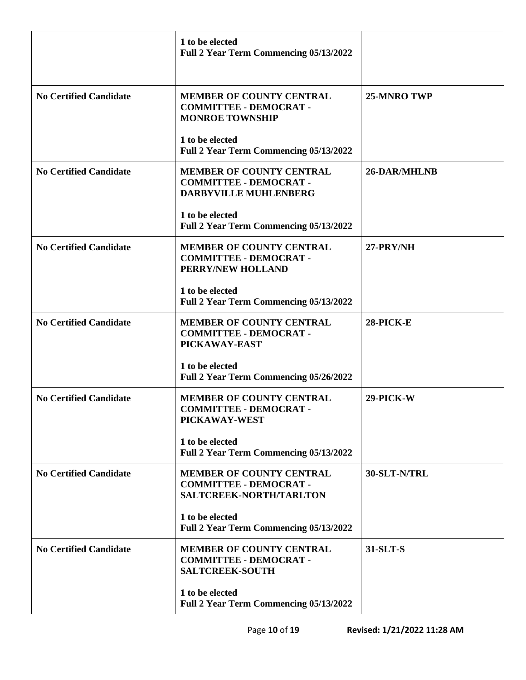|                               | 1 to be elected<br><b>Full 2 Year Term Commencing 05/13/2022</b>                            |              |
|-------------------------------|---------------------------------------------------------------------------------------------|--------------|
| <b>No Certified Candidate</b> | <b>MEMBER OF COUNTY CENTRAL</b><br><b>COMMITTEE - DEMOCRAT -</b><br><b>MONROE TOWNSHIP</b>  | 25-MNRO TWP  |
|                               | 1 to be elected<br>Full 2 Year Term Commencing 05/13/2022                                   |              |
| <b>No Certified Candidate</b> | <b>MEMBER OF COUNTY CENTRAL</b><br><b>COMMITTEE - DEMOCRAT -</b><br>DARBYVILLE MUHLENBERG   | 26-DAR/MHLNB |
|                               | 1 to be elected<br><b>Full 2 Year Term Commencing 05/13/2022</b>                            |              |
| <b>No Certified Candidate</b> | <b>MEMBER OF COUNTY CENTRAL</b><br><b>COMMITTEE - DEMOCRAT -</b><br>PERRY/NEW HOLLAND       | 27-PRY/NH    |
|                               | 1 to be elected<br>Full 2 Year Term Commencing 05/13/2022                                   |              |
| <b>No Certified Candidate</b> | <b>MEMBER OF COUNTY CENTRAL</b><br><b>COMMITTEE - DEMOCRAT -</b><br>PICKAWAY-EAST           | 28-PICK-E    |
|                               | 1 to be elected<br><b>Full 2 Year Term Commencing 05/26/2022</b>                            |              |
| <b>No Certified Candidate</b> | <b>MEMBER OF COUNTY CENTRAL</b><br><b>COMMITTEE - DEMOCRAT -</b><br>PICKAWAY-WEST           | 29-PICK-W    |
|                               | 1 to be elected<br>Full 2 Year Term Commencing 05/13/2022                                   |              |
| <b>No Certified Candidate</b> | <b>MEMBER OF COUNTY CENTRAL</b><br><b>COMMITTEE - DEMOCRAT -</b><br>SALTCREEK-NORTH/TARLTON | 30-SLT-N/TRL |
|                               | 1 to be elected<br>Full 2 Year Term Commencing 05/13/2022                                   |              |
| <b>No Certified Candidate</b> | <b>MEMBER OF COUNTY CENTRAL</b><br><b>COMMITTEE - DEMOCRAT -</b><br><b>SALTCREEK-SOUTH</b>  | 31-SLT-S     |
|                               | 1 to be elected<br>Full 2 Year Term Commencing 05/13/2022                                   |              |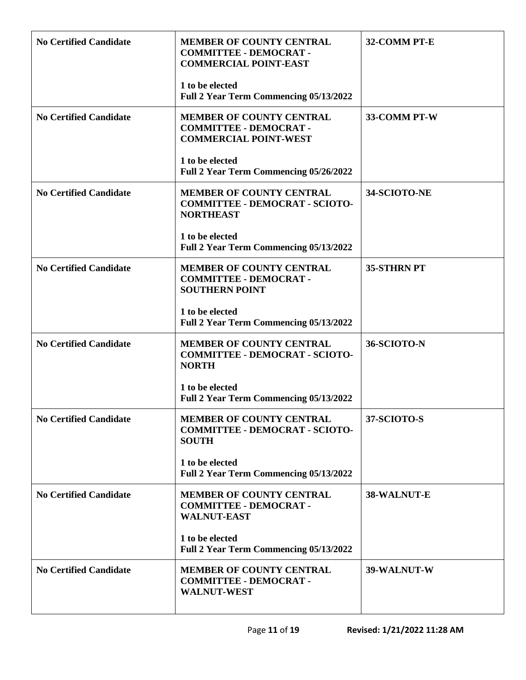| <b>No Certified Candidate</b> | <b>MEMBER OF COUNTY CENTRAL</b><br><b>COMMITTEE - DEMOCRAT -</b><br><b>COMMERCIAL POINT-EAST</b> | 32-COMM PT-E      |
|-------------------------------|--------------------------------------------------------------------------------------------------|-------------------|
|                               | 1 to be elected<br>Full 2 Year Term Commencing 05/13/2022                                        |                   |
| <b>No Certified Candidate</b> | <b>MEMBER OF COUNTY CENTRAL</b><br><b>COMMITTEE - DEMOCRAT -</b><br><b>COMMERCIAL POINT-WEST</b> | 33-COMM PT-W      |
|                               | 1 to be elected<br>Full 2 Year Term Commencing 05/26/2022                                        |                   |
| <b>No Certified Candidate</b> | <b>MEMBER OF COUNTY CENTRAL</b><br><b>COMMITTEE - DEMOCRAT - SCIOTO-</b><br><b>NORTHEAST</b>     | 34-SCIOTO-NE      |
|                               | 1 to be elected<br>Full 2 Year Term Commencing 05/13/2022                                        |                   |
| <b>No Certified Candidate</b> | <b>MEMBER OF COUNTY CENTRAL</b><br><b>COMMITTEE - DEMOCRAT -</b><br><b>SOUTHERN POINT</b>        | <b>35-STHRNPT</b> |
|                               | 1 to be elected<br>Full 2 Year Term Commencing 05/13/2022                                        |                   |
| <b>No Certified Candidate</b> | <b>MEMBER OF COUNTY CENTRAL</b><br><b>COMMITTEE - DEMOCRAT - SCIOTO-</b><br><b>NORTH</b>         | 36-SCIOTO-N       |
|                               | 1 to be elected<br>Full 2 Year Term Commencing 05/13/2022                                        |                   |
| <b>No Certified Candidate</b> | <b>MEMBER OF COUNTY CENTRAL</b><br><b>COMMITTEE - DEMOCRAT - SCIOTO-</b><br><b>SOUTH</b>         | 37-SCIOTO-S       |
|                               | 1 to be elected<br>Full 2 Year Term Commencing 05/13/2022                                        |                   |
| <b>No Certified Candidate</b> | <b>MEMBER OF COUNTY CENTRAL</b><br><b>COMMITTEE - DEMOCRAT -</b><br><b>WALNUT-EAST</b>           | 38-WALNUT-E       |
|                               | 1 to be elected<br>Full 2 Year Term Commencing 05/13/2022                                        |                   |
| <b>No Certified Candidate</b> | <b>MEMBER OF COUNTY CENTRAL</b><br><b>COMMITTEE - DEMOCRAT -</b><br><b>WALNUT-WEST</b>           | 39-WALNUT-W       |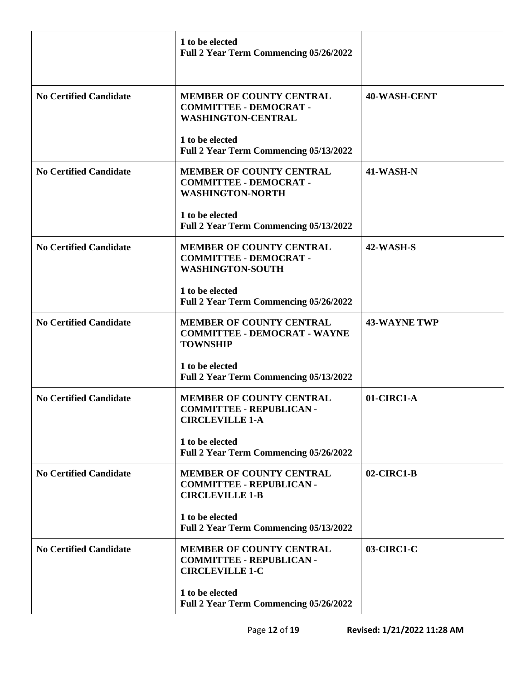|                               | 1 to be elected<br><b>Full 2 Year Term Commencing 05/26/2022</b>                             |                     |
|-------------------------------|----------------------------------------------------------------------------------------------|---------------------|
| <b>No Certified Candidate</b> | MEMBER OF COUNTY CENTRAL<br><b>COMMITTEE - DEMOCRAT -</b><br><b>WASHINGTON-CENTRAL</b>       | <b>40-WASH-CENT</b> |
|                               | 1 to be elected<br>Full 2 Year Term Commencing 05/13/2022                                    |                     |
| <b>No Certified Candidate</b> | <b>MEMBER OF COUNTY CENTRAL</b><br><b>COMMITTEE - DEMOCRAT -</b><br><b>WASHINGTON-NORTH</b>  | 41-WASH-N           |
|                               | 1 to be elected<br><b>Full 2 Year Term Commencing 05/13/2022</b>                             |                     |
| <b>No Certified Candidate</b> | <b>MEMBER OF COUNTY CENTRAL</b><br><b>COMMITTEE - DEMOCRAT -</b><br><b>WASHINGTON-SOUTH</b>  | 42-WASH-S           |
|                               | 1 to be elected<br>Full 2 Year Term Commencing 05/26/2022                                    |                     |
| <b>No Certified Candidate</b> | <b>MEMBER OF COUNTY CENTRAL</b><br><b>COMMITTEE - DEMOCRAT - WAYNE</b><br><b>TOWNSHIP</b>    | <b>43-WAYNE TWP</b> |
|                               | 1 to be elected<br><b>Full 2 Year Term Commencing 05/13/2022</b>                             |                     |
| <b>No Certified Candidate</b> | <b>MEMBER OF COUNTY CENTRAL</b><br><b>COMMITTEE - REPUBLICAN -</b><br><b>CIRCLEVILLE 1-A</b> | 01-CIRC1-A          |
|                               | 1 to be elected<br>Full 2 Year Term Commencing 05/26/2022                                    |                     |
| <b>No Certified Candidate</b> | <b>MEMBER OF COUNTY CENTRAL</b><br><b>COMMITTEE - REPUBLICAN -</b><br><b>CIRCLEVILLE 1-B</b> | 02-CIRC1-B          |
|                               | 1 to be elected<br>Full 2 Year Term Commencing 05/13/2022                                    |                     |
| <b>No Certified Candidate</b> | <b>MEMBER OF COUNTY CENTRAL</b><br><b>COMMITTEE - REPUBLICAN -</b><br><b>CIRCLEVILLE 1-C</b> | 03-CIRC1-C          |
|                               | 1 to be elected<br>Full 2 Year Term Commencing 05/26/2022                                    |                     |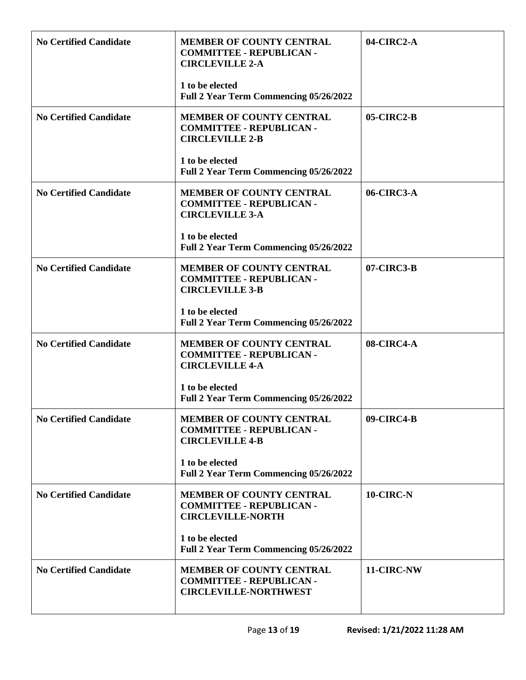| <b>No Certified Candidate</b> | <b>MEMBER OF COUNTY CENTRAL</b><br><b>COMMITTEE - REPUBLICAN -</b><br><b>CIRCLEVILLE 2-A</b><br>1 to be elected | 04-CIRC2-A |
|-------------------------------|-----------------------------------------------------------------------------------------------------------------|------------|
|                               | Full 2 Year Term Commencing 05/26/2022                                                                          |            |
| <b>No Certified Candidate</b> | <b>MEMBER OF COUNTY CENTRAL</b><br><b>COMMITTEE - REPUBLICAN -</b><br><b>CIRCLEVILLE 2-B</b>                    | 05-CIRC2-B |
|                               | 1 to be elected<br>Full 2 Year Term Commencing 05/26/2022                                                       |            |
| <b>No Certified Candidate</b> | <b>MEMBER OF COUNTY CENTRAL</b><br><b>COMMITTEE - REPUBLICAN -</b><br><b>CIRCLEVILLE 3-A</b>                    | 06-CIRC3-A |
|                               | 1 to be elected<br><b>Full 2 Year Term Commencing 05/26/2022</b>                                                |            |
| <b>No Certified Candidate</b> | <b>MEMBER OF COUNTY CENTRAL</b><br><b>COMMITTEE - REPUBLICAN -</b><br><b>CIRCLEVILLE 3-B</b>                    | 07-CIRC3-B |
|                               | 1 to be elected<br>Full 2 Year Term Commencing 05/26/2022                                                       |            |
| <b>No Certified Candidate</b> | <b>MEMBER OF COUNTY CENTRAL</b><br><b>COMMITTEE - REPUBLICAN -</b><br><b>CIRCLEVILLE 4-A</b>                    | 08-CIRC4-A |
|                               | 1 to be elected<br>Full 2 Year Term Commencing 05/26/2022                                                       |            |
| <b>No Certified Candidate</b> | <b>MEMBER OF COUNTY CENTRAL</b><br><b>COMMITTEE - REPUBLICAN -</b><br><b>CIRCLEVILLE 4-B</b>                    | 09-CIRC4-B |
|                               | 1 to be elected<br>Full 2 Year Term Commencing 05/26/2022                                                       |            |
| <b>No Certified Candidate</b> | <b>MEMBER OF COUNTY CENTRAL</b><br><b>COMMITTEE - REPUBLICAN -</b><br><b>CIRCLEVILLE-NORTH</b>                  | 10-CIRC-N  |
|                               | 1 to be elected<br>Full 2 Year Term Commencing 05/26/2022                                                       |            |
| <b>No Certified Candidate</b> | <b>MEMBER OF COUNTY CENTRAL</b><br><b>COMMITTEE - REPUBLICAN -</b><br><b>CIRCLEVILLE-NORTHWEST</b>              | 11-CIRC-NW |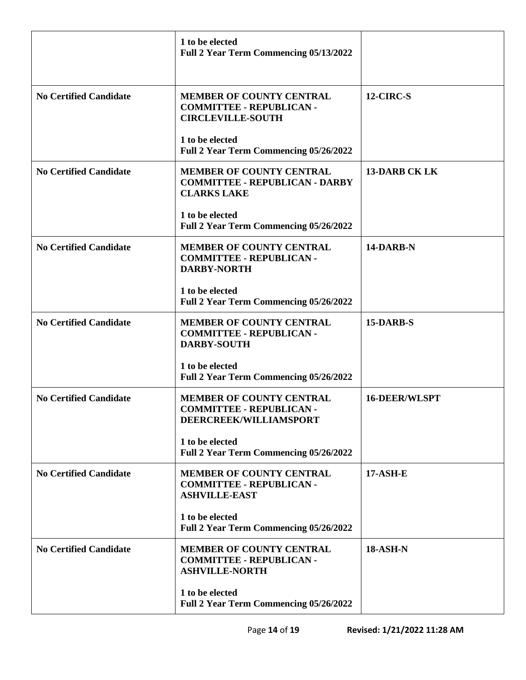|                               | 1 to be elected<br><b>Full 2 Year Term Commencing 05/13/2022</b>                               |                      |
|-------------------------------|------------------------------------------------------------------------------------------------|----------------------|
| <b>No Certified Candidate</b> | <b>MEMBER OF COUNTY CENTRAL</b><br><b>COMMITTEE - REPUBLICAN -</b><br><b>CIRCLEVILLE-SOUTH</b> | 12-CIRC-S            |
|                               | 1 to be elected<br>Full 2 Year Term Commencing 05/26/2022                                      |                      |
| <b>No Certified Candidate</b> | <b>MEMBER OF COUNTY CENTRAL</b><br><b>COMMITTEE - REPUBLICAN - DARBY</b><br><b>CLARKS LAKE</b> | <b>13-DARB CK LK</b> |
|                               | 1 to be elected<br>Full 2 Year Term Commencing 05/26/2022                                      |                      |
| <b>No Certified Candidate</b> | MEMBER OF COUNTY CENTRAL<br><b>COMMITTEE - REPUBLICAN -</b><br><b>DARBY-NORTH</b>              | 14-DARB-N            |
|                               | 1 to be elected<br>Full 2 Year Term Commencing 05/26/2022                                      |                      |
| <b>No Certified Candidate</b> | <b>MEMBER OF COUNTY CENTRAL</b><br><b>COMMITTEE - REPUBLICAN -</b><br><b>DARBY-SOUTH</b>       | 15-DARB-S            |
|                               | 1 to be elected<br><b>Full 2 Year Term Commencing 05/26/2022</b>                               |                      |
| <b>No Certified Candidate</b> | <b>MEMBER OF COUNTY CENTRAL</b><br><b>COMMITTEE - REPUBLICAN -</b><br>DEERCREEK/WILLIAMSPORT   | <b>16-DEER/WLSPT</b> |
|                               | 1 to be elected<br>Full 2 Year Term Commencing 05/26/2022                                      |                      |
| <b>No Certified Candidate</b> | <b>MEMBER OF COUNTY CENTRAL</b><br><b>COMMITTEE - REPUBLICAN -</b><br><b>ASHVILLE-EAST</b>     | <b>17-ASH-E</b>      |
|                               | 1 to be elected<br>Full 2 Year Term Commencing 05/26/2022                                      |                      |
| <b>No Certified Candidate</b> | <b>MEMBER OF COUNTY CENTRAL</b><br><b>COMMITTEE - REPUBLICAN -</b><br><b>ASHVILLE-NORTH</b>    | <b>18-ASH-N</b>      |
|                               | 1 to be elected<br>Full 2 Year Term Commencing 05/26/2022                                      |                      |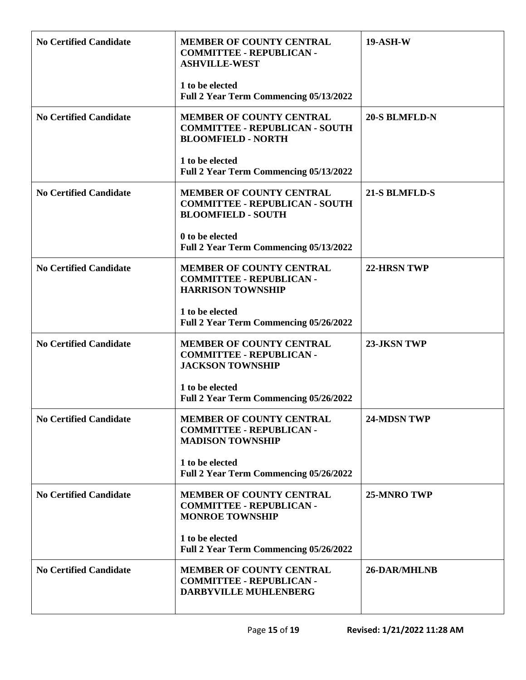| <b>No Certified Candidate</b> | <b>MEMBER OF COUNTY CENTRAL</b><br><b>COMMITTEE - REPUBLICAN -</b><br><b>ASHVILLE-WEST</b><br>1 to be elected | <b>19-ASH-W</b>      |
|-------------------------------|---------------------------------------------------------------------------------------------------------------|----------------------|
|                               | Full 2 Year Term Commencing 05/13/2022                                                                        |                      |
| <b>No Certified Candidate</b> | <b>MEMBER OF COUNTY CENTRAL</b><br><b>COMMITTEE - REPUBLICAN - SOUTH</b><br><b>BLOOMFIELD - NORTH</b>         | <b>20-S BLMFLD-N</b> |
|                               | 1 to be elected<br>Full 2 Year Term Commencing 05/13/2022                                                     |                      |
| <b>No Certified Candidate</b> | <b>MEMBER OF COUNTY CENTRAL</b><br><b>COMMITTEE - REPUBLICAN - SOUTH</b><br><b>BLOOMFIELD - SOUTH</b>         | 21-S BLMFLD-S        |
|                               | 0 to be elected<br>Full 2 Year Term Commencing 05/13/2022                                                     |                      |
| <b>No Certified Candidate</b> | <b>MEMBER OF COUNTY CENTRAL</b><br><b>COMMITTEE - REPUBLICAN -</b><br><b>HARRISON TOWNSHIP</b>                | 22-HRSN TWP          |
|                               | 1 to be elected<br>Full 2 Year Term Commencing 05/26/2022                                                     |                      |
| <b>No Certified Candidate</b> | <b>MEMBER OF COUNTY CENTRAL</b><br><b>COMMITTEE - REPUBLICAN -</b><br><b>JACKSON TOWNSHIP</b>                 | 23-JKSN TWP          |
|                               | 1 to be elected<br><b>Full 2 Year Term Commencing 05/26/2022</b>                                              |                      |
| <b>No Certified Candidate</b> | <b>MEMBER OF COUNTY CENTRAL</b><br><b>COMMITTEE - REPUBLICAN -</b><br><b>MADISON TOWNSHIP</b>                 | 24-MDSN TWP          |
|                               | 1 to be elected<br>Full 2 Year Term Commencing 05/26/2022                                                     |                      |
| <b>No Certified Candidate</b> | <b>MEMBER OF COUNTY CENTRAL</b><br><b>COMMITTEE - REPUBLICAN -</b><br><b>MONROE TOWNSHIP</b>                  | 25-MNRO TWP          |
|                               | 1 to be elected<br>Full 2 Year Term Commencing 05/26/2022                                                     |                      |
| <b>No Certified Candidate</b> | <b>MEMBER OF COUNTY CENTRAL</b><br><b>COMMITTEE - REPUBLICAN -</b><br>DARBYVILLE MUHLENBERG                   | 26-DAR/MHLNB         |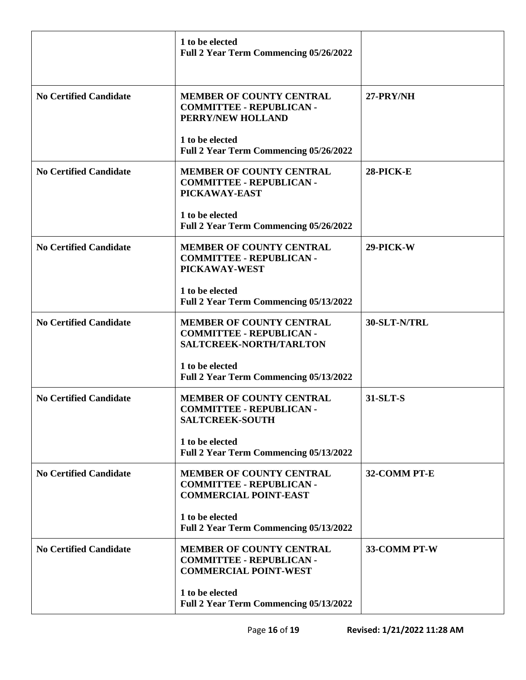|                               | 1 to be elected<br><b>Full 2 Year Term Commencing 05/26/2022</b>                                   |              |
|-------------------------------|----------------------------------------------------------------------------------------------------|--------------|
| <b>No Certified Candidate</b> | <b>MEMBER OF COUNTY CENTRAL</b><br><b>COMMITTEE - REPUBLICAN -</b><br>PERRY/NEW HOLLAND            | 27-PRY/NH    |
|                               | 1 to be elected<br>Full 2 Year Term Commencing 05/26/2022                                          |              |
| <b>No Certified Candidate</b> | <b>MEMBER OF COUNTY CENTRAL</b><br><b>COMMITTEE - REPUBLICAN -</b><br>PICKAWAY-EAST                | 28-PICK-E    |
|                               | 1 to be elected<br><b>Full 2 Year Term Commencing 05/26/2022</b>                                   |              |
| <b>No Certified Candidate</b> | <b>MEMBER OF COUNTY CENTRAL</b><br><b>COMMITTEE - REPUBLICAN -</b><br>PICKAWAY-WEST                | 29-PICK-W    |
|                               | 1 to be elected<br>Full 2 Year Term Commencing 05/13/2022                                          |              |
| <b>No Certified Candidate</b> | <b>MEMBER OF COUNTY CENTRAL</b><br><b>COMMITTEE - REPUBLICAN -</b><br>SALTCREEK-NORTH/TARLTON      | 30-SLT-N/TRL |
|                               | 1 to be elected<br>Full 2 Year Term Commencing 05/13/2022                                          |              |
| <b>No Certified Candidate</b> | <b>MEMBER OF COUNTY CENTRAL</b><br><b>COMMITTEE - REPUBLICAN -</b><br><b>SALTCREEK-SOUTH</b>       | 31-SLT-S     |
|                               | 1 to be elected<br>Full 2 Year Term Commencing 05/13/2022                                          |              |
| <b>No Certified Candidate</b> | <b>MEMBER OF COUNTY CENTRAL</b><br><b>COMMITTEE - REPUBLICAN -</b><br><b>COMMERCIAL POINT-EAST</b> | 32-COMM PT-E |
|                               | 1 to be elected<br>Full 2 Year Term Commencing 05/13/2022                                          |              |
| <b>No Certified Candidate</b> | <b>MEMBER OF COUNTY CENTRAL</b><br><b>COMMITTEE - REPUBLICAN -</b><br><b>COMMERCIAL POINT-WEST</b> | 33-COMM PT-W |
|                               | 1 to be elected<br>Full 2 Year Term Commencing 05/13/2022                                          |              |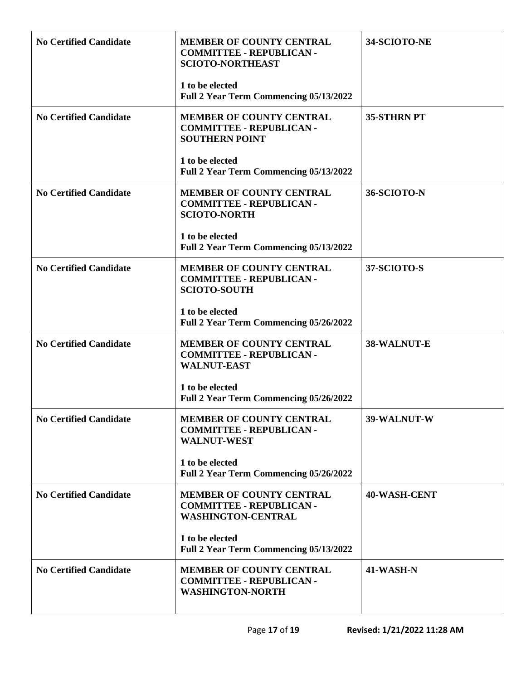| <b>MEMBER OF COUNTY CENTRAL</b><br><b>COMMITTEE - REPUBLICAN -</b><br><b>SCIOTO-NORTHEAST</b>   | 34-SCIOTO-NE       |
|-------------------------------------------------------------------------------------------------|--------------------|
| 1 to be elected<br>Full 2 Year Term Commencing 05/13/2022                                       |                    |
| <b>MEMBER OF COUNTY CENTRAL</b><br><b>COMMITTEE - REPUBLICAN -</b><br><b>SOUTHERN POINT</b>     | <b>35-STHRN PT</b> |
| 1 to be elected<br>Full 2 Year Term Commencing 05/13/2022                                       |                    |
| <b>MEMBER OF COUNTY CENTRAL</b><br><b>COMMITTEE - REPUBLICAN -</b><br><b>SCIOTO-NORTH</b>       | 36-SCIOTO-N        |
| 1 to be elected<br>Full 2 Year Term Commencing 05/13/2022                                       |                    |
| <b>MEMBER OF COUNTY CENTRAL</b><br><b>COMMITTEE - REPUBLICAN -</b><br><b>SCIOTO-SOUTH</b>       | 37-SCIOTO-S        |
| 1 to be elected<br>Full 2 Year Term Commencing 05/26/2022                                       |                    |
| <b>MEMBER OF COUNTY CENTRAL</b><br><b>COMMITTEE - REPUBLICAN -</b><br><b>WALNUT-EAST</b>        | 38-WALNUT-E        |
| 1 to be elected<br>Full 2 Year Term Commencing 05/26/2022                                       |                    |
| <b>MEMBER OF COUNTY CENTRAL</b><br><b>COMMITTEE - REPUBLICAN -</b><br><b>WALNUT-WEST</b>        | 39-WALNUT-W        |
| 1 to be elected<br>Full 2 Year Term Commencing 05/26/2022                                       |                    |
| <b>MEMBER OF COUNTY CENTRAL</b><br><b>COMMITTEE - REPUBLICAN -</b><br><b>WASHINGTON-CENTRAL</b> | 40-WASH-CENT       |
| 1 to be elected<br>Full 2 Year Term Commencing 05/13/2022                                       |                    |
| <b>MEMBER OF COUNTY CENTRAL</b><br><b>COMMITTEE - REPUBLICAN -</b><br><b>WASHINGTON-NORTH</b>   | 41-WASH-N          |
|                                                                                                 |                    |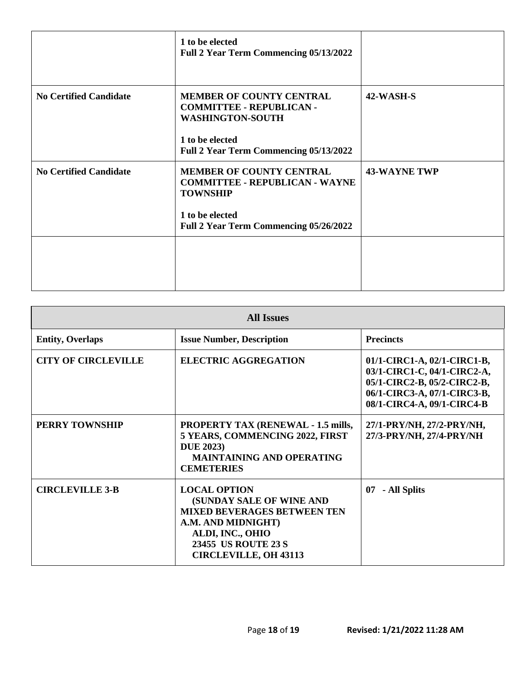|                               | 1 to be elected<br><b>Full 2 Year Term Commencing 05/13/2022</b>                                                                                                |                     |
|-------------------------------|-----------------------------------------------------------------------------------------------------------------------------------------------------------------|---------------------|
| <b>No Certified Candidate</b> | <b>MEMBER OF COUNTY CENTRAL</b><br><b>COMMITTEE - REPUBLICAN -</b><br><b>WASHINGTON-SOUTH</b><br>1 to be elected<br>Full 2 Year Term Commencing 05/13/2022      | 42-WASH-S           |
| <b>No Certified Candidate</b> | <b>MEMBER OF COUNTY CENTRAL</b><br><b>COMMITTEE - REPUBLICAN - WAYNE</b><br><b>TOWNSHIP</b><br>1 to be elected<br><b>Full 2 Year Term Commencing 05/26/2022</b> | <b>43-WAYNE TWP</b> |
|                               |                                                                                                                                                                 |                     |

| <b>All Issues</b>          |                                                                                                                                                                                        |                                                                                                                                                        |
|----------------------------|----------------------------------------------------------------------------------------------------------------------------------------------------------------------------------------|--------------------------------------------------------------------------------------------------------------------------------------------------------|
| <b>Entity, Overlaps</b>    | <b>Issue Number, Description</b>                                                                                                                                                       | <b>Precincts</b>                                                                                                                                       |
| <b>CITY OF CIRCLEVILLE</b> | <b>ELECTRIC AGGREGATION</b>                                                                                                                                                            | 01/1-CIRC1-A, 02/1-CIRC1-B,<br>03/1-CIRC1-C, 04/1-CIRC2-A,<br>05/1-CIRC2-B, 05/2-CIRC2-B,<br>06/1-CIRC3-A, 07/1-CIRC3-B,<br>08/1-CIRC4-A, 09/1-CIRC4-B |
| <b>PERRY TOWNSHIP</b>      | <b>PROPERTY TAX (RENEWAL - 1.5 mills,</b><br>5 YEARS, COMMENCING 2022, FIRST<br><b>DUE 2023</b> )<br><b>MAINTAINING AND OPERATING</b><br><b>CEMETERIES</b>                             | 27/1-PRY/NH, 27/2-PRY/NH,<br>27/3-PRY/NH, 27/4-PRY/NH                                                                                                  |
| <b>CIRCLEVILLE 3-B</b>     | <b>LOCAL OPTION</b><br>(SUNDAY SALE OF WINE AND<br><b>MIXED BEVERAGES BETWEEN TEN</b><br>A.M. AND MIDNIGHT)<br>ALDI, INC., OHIO<br>23455 US ROUTE 23 S<br><b>CIRCLEVILLE, OH 43113</b> | - All Splits<br>07                                                                                                                                     |